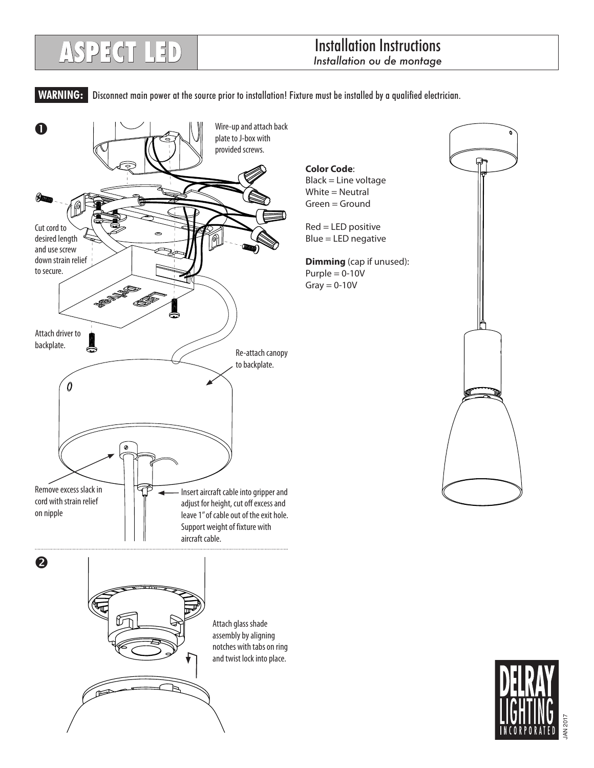## Installation Instructions **ASPECT LED** *Installation ou de montage*

 **WARNING:** Disconnect main power at the source prior to installation! Fixture must be installed by a qualified electrician.



JAN 2017 AN 20